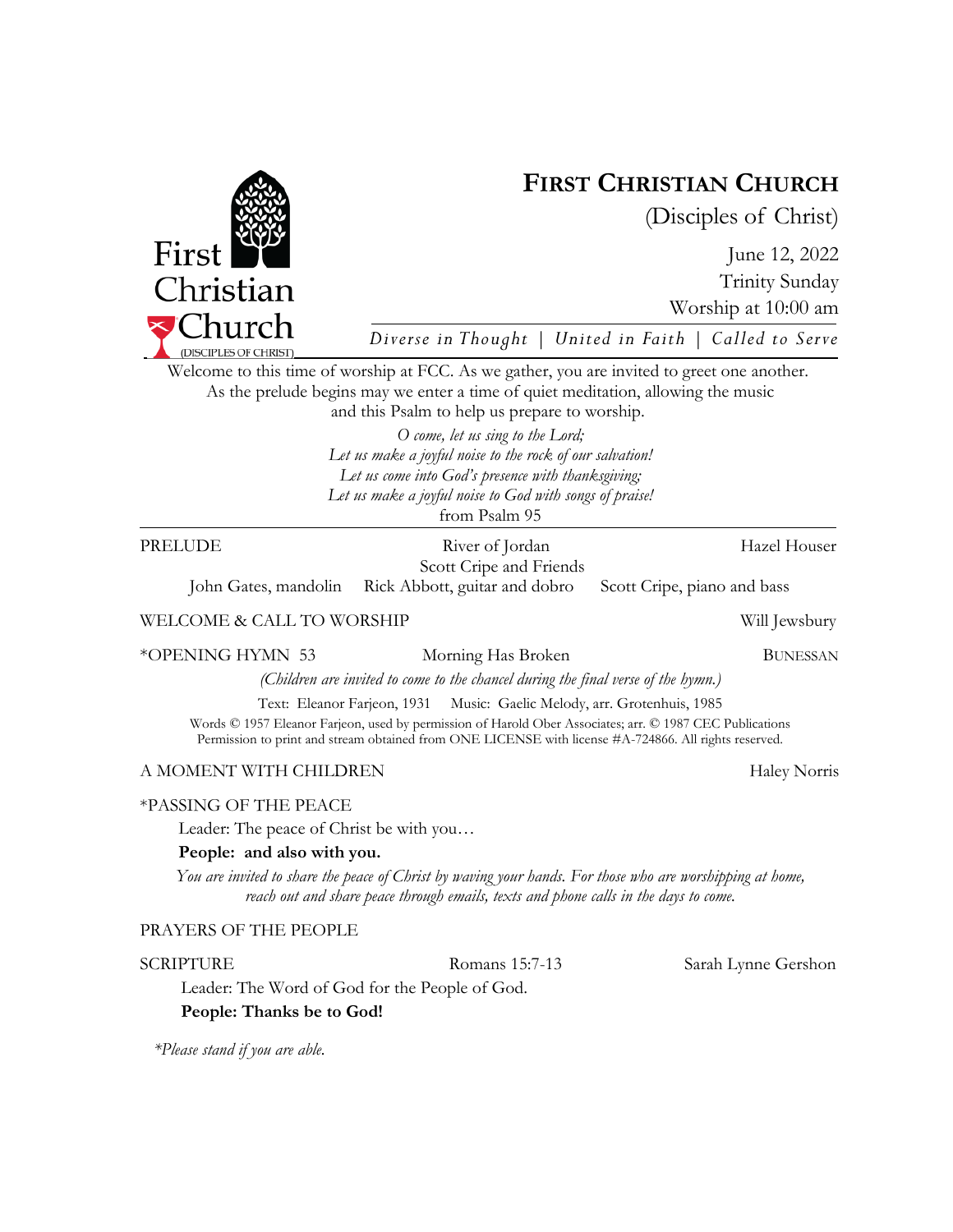

*\*Please stand if you are able.* 

First Christian  $\Gamma$ Church

Welcome to this time of worship at FCC. As we gather, you are invited to greet one another.

# \*PASSING OF THE PEACE

Leader: The peace of Christ be with you…

# **People: and also with you.**

*You are invited to share the peace of Christ by waving your hands. For those who are worshipping at home,* 

# PRAYERS OF THE PEOPLE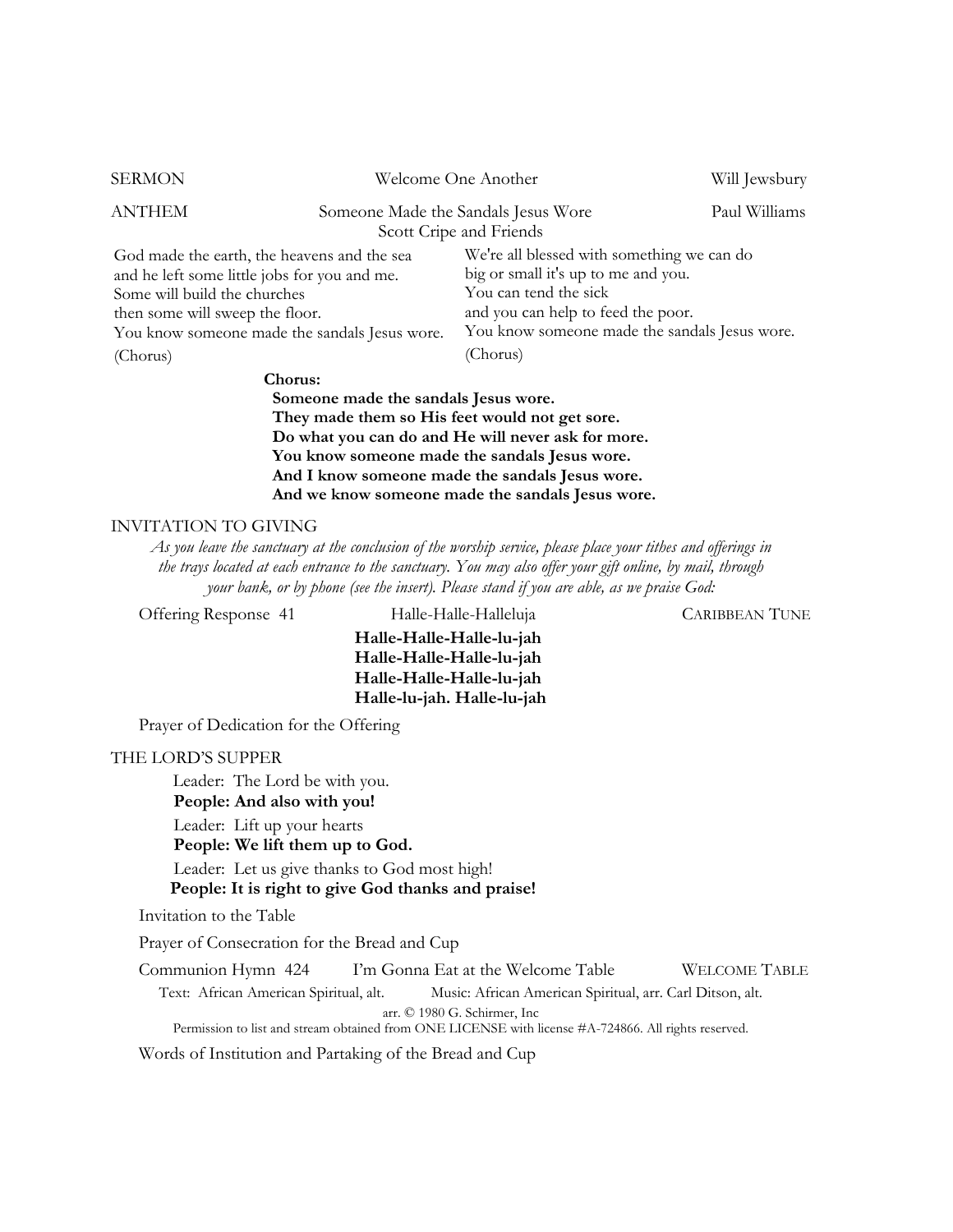| <b>SERMON</b>                                                                                                                                                                                                   |                                                                | Welcome One Another                                                                                                                                                                               | Will Jewsbury |
|-----------------------------------------------------------------------------------------------------------------------------------------------------------------------------------------------------------------|----------------------------------------------------------------|---------------------------------------------------------------------------------------------------------------------------------------------------------------------------------------------------|---------------|
| ANTHEM                                                                                                                                                                                                          | Someone Made the Sandals Jesus Wore<br>Scott Cripe and Friends |                                                                                                                                                                                                   | Paul Williams |
| God made the earth, the heavens and the sea<br>and he left some little jobs for you and me.<br>Some will build the churches<br>then some will sweep the floor.<br>You know someone made the sandals Jesus wore. |                                                                | We're all blessed with something we can do<br>big or small it's up to me and you.<br>You can tend the sick<br>and you can help to feed the poor.<br>You know someone made the sandals Jesus wore. |               |
| (Chorus)                                                                                                                                                                                                        |                                                                | (Chorus)                                                                                                                                                                                          |               |
| Chorus:                                                                                                                                                                                                         |                                                                |                                                                                                                                                                                                   |               |

 **Someone made the sandals Jesus wore. They made them so His feet would not get sore. Do what you can do and He will never ask for more. You know someone made the sandals Jesus wore. And I know someone made the sandals Jesus wore. And we know someone made the sandals Jesus wore.** 

#### INVITATION TO GIVING

*As you leave the sanctuary at the conclusion of the worship service, please place your tithes and offerings in the trays located at each entrance to the sanctuary. You may also offer your gift online, by mail, through your bank, or by phone (see the insert). Please stand if you are able, as we praise God:* 

Offering Response 41 Halle-Halle-Halleluja CARIBBEAN TUNE

**Halle-Halle-Halle-lu-jah Halle-Halle-Halle-lu-jah Halle-Halle-Halle-lu-jah Halle-lu-jah. Halle-lu-jah** 

Prayer of Dedication for the Offering

#### THE LORD'S SUPPER

Leader: The Lord be with you.

**People: And also with you!** 

Leader: Lift up your hearts

**People: We lift them up to God.** 

Leader: Let us give thanks to God most high!

 **People: It is right to give God thanks and praise!** 

Invitation to the Table

Prayer of Consecration for the Bread and Cup

Communion Hymn 424I'm Gonna Eat at the Welcome Table WELCOME TABLE

Text: African American Spiritual, alt. Music: African American Spiritual, arr. Carl Ditson, alt. arr. © 1980 G. Schirmer, Inc

Permission to list and stream obtained from ONE LICENSE with license #A-724866. All rights reserved.

Words of Institution and Partaking of the Bread and Cup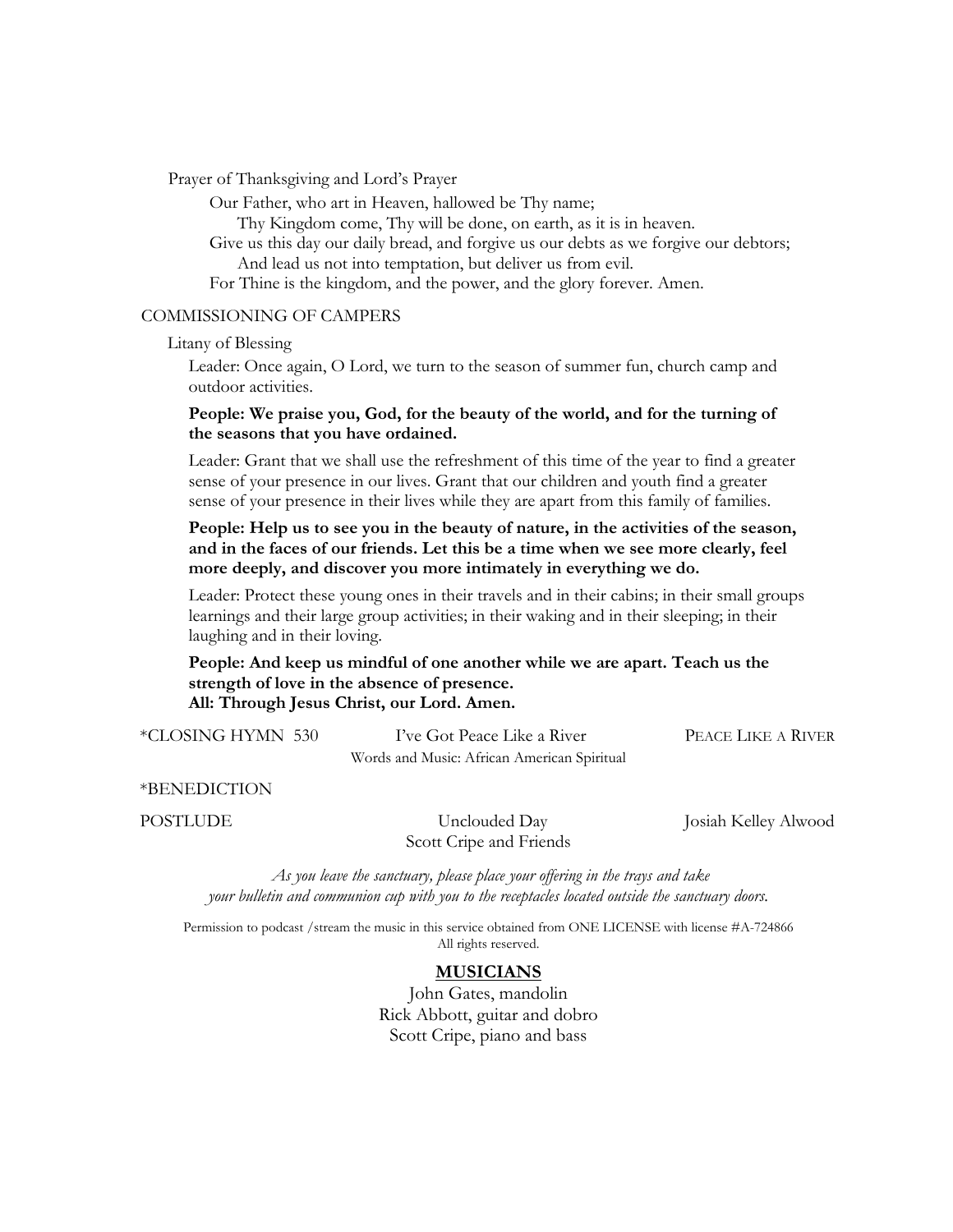Prayer of Thanksgiving and Lord's Prayer

Our Father, who art in Heaven, hallowed be Thy name;

Thy Kingdom come, Thy will be done, on earth, as it is in heaven.

Give us this day our daily bread, and forgive us our debts as we forgive our debtors; And lead us not into temptation, but deliver us from evil.

For Thine is the kingdom, and the power, and the glory forever. Amen.

#### COMMISSIONING OF CAMPERS

Litany of Blessing

Leader: Once again, O Lord, we turn to the season of summer fun, church camp and outdoor activities.

### **People: We praise you, God, for the beauty of the world, and for the turning of the seasons that you have ordained.**

Leader: Grant that we shall use the refreshment of this time of the year to find a greater sense of your presence in our lives. Grant that our children and youth find a greater sense of your presence in their lives while they are apart from this family of families.

## **People: Help us to see you in the beauty of nature, in the activities of the season, and in the faces of our friends. Let this be a time when we see more clearly, feel more deeply, and discover you more intimately in everything we do.**

Leader: Protect these young ones in their travels and in their cabins; in their small groups learnings and their large group activities; in their waking and in their sleeping; in their laughing and in their loving.

**People: And keep us mindful of one another while we are apart. Teach us the strength of love in the absence of presence. All: Through Jesus Christ, our Lord. Amen.** 

\*CLOSING HYMN 530 I've Got Peace Like a River PEACE LIKE A RIVER Words and Music: African American Spiritual

\*BENEDICTION

POSTLUDE Unclouded Day Josiah Kelley Alwood Scott Cripe and Friends

*As you leave the sanctuary, please place your offering in the trays and take your bulletin and communion cup with you to the receptacles located outside the sanctuary doors.* 

Permission to podcast /stream the music in this service obtained from ONE LICENSE with license #A-724866 All rights reserved.

## **MUSICIANS**

John Gates, mandolin Rick Abbott, guitar and dobro Scott Cripe, piano and bass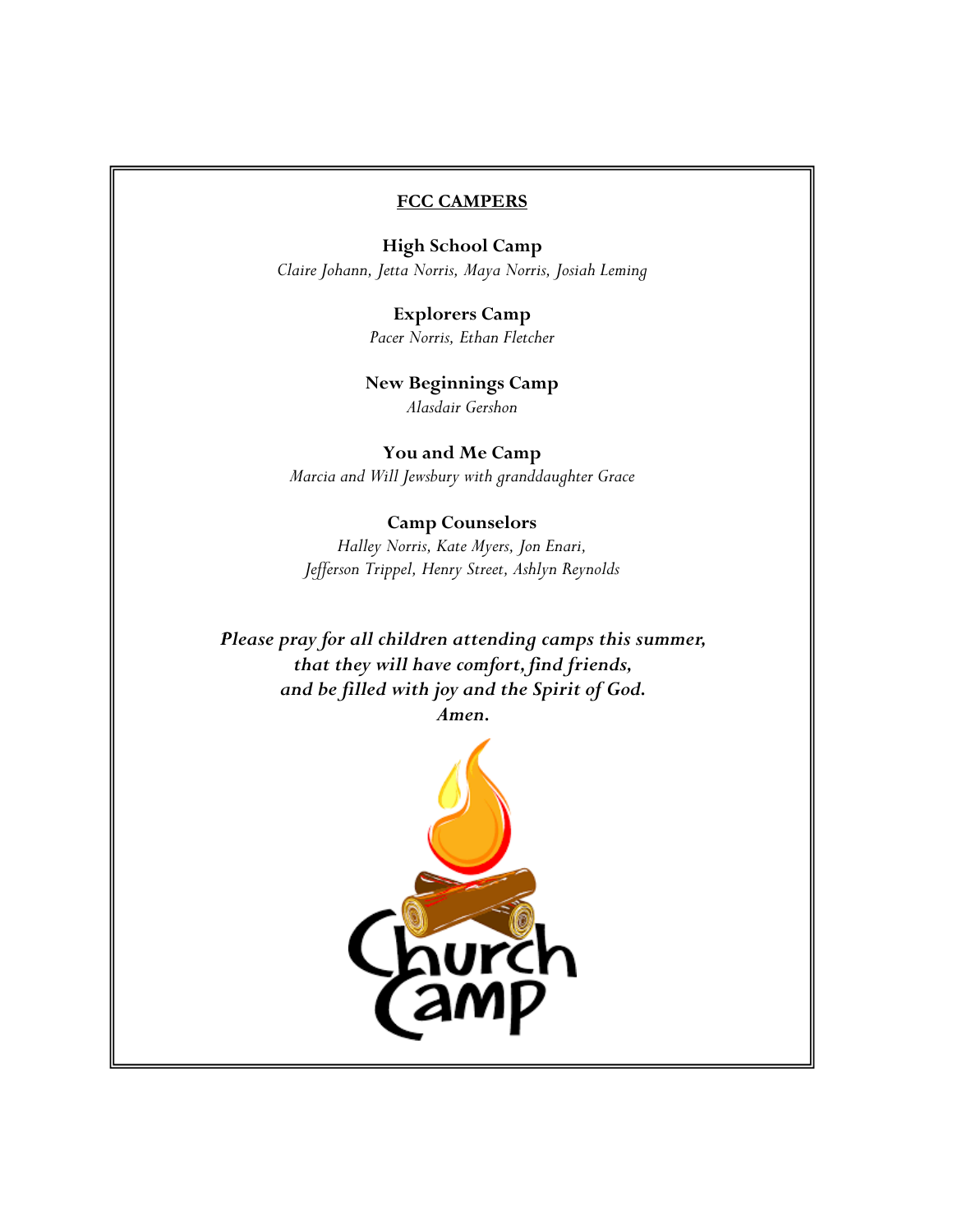#### **FCC CAMPERS**

**High School Camp**  *Claire Johann, Jetta Norris, Maya Norris, Josiah Leming*

> **Explorers Camp**  *Pacer Norris, Ethan Fletcher*

**New Beginnings Camp**  *Alasdair Gershon* 

**You and Me Camp**  *Marcia and Will Jewsbury with granddaughter Grace* 

# **Camp Counselors**

*Halley Norris, Kate Myers, Jon Enari, Jefferson Trippel, Henry Street, Ashlyn Reynolds* 

*Please pray for all children attending camps this summer, that they will have comfort, find friends, and be filled with joy and the Spirit of God. Amen.* 

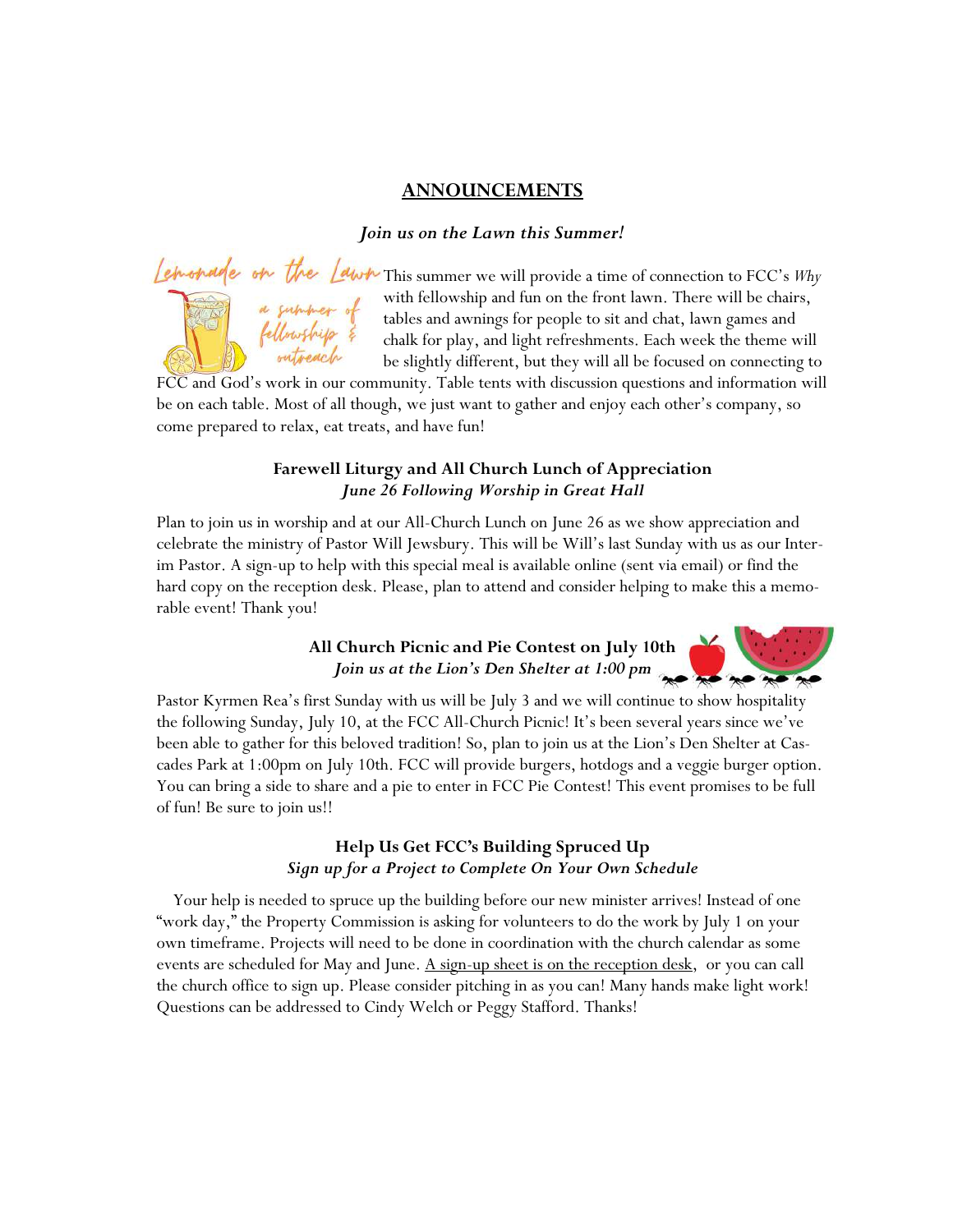### **ANNOUNCEMENTS**

#### *Join us on the Lawn this Summer!*



Lemondre on the Lawn This summer we will provide a time of connection to FCC's *Why* with fellowship and fun on the front lawn. There will be chairs, tables and awnings for people to sit and chat, lawn games and fellowship with fellowship and fun on the front lawn. There will be chairs, tables and awnings for people to sit and chat, lawn games and chalk for play, and light refreshments. Each week the theme will be slightly different, but they will all be focused on connecting to

FCC and God's work in our community. Table tents with discussion questions and information will be on each table. Most of all though, we just want to gather and enjoy each other's company, so come prepared to relax, eat treats, and have fun!

## **Farewell Liturgy and All Church Lunch of Appreciation**  *June 26 Following Worship in Great Hall*

Plan to join us in worship and at our All-Church Lunch on June 26 as we show appreciation and celebrate the ministry of Pastor Will Jewsbury. This will be Will's last Sunday with us as our Interim Pastor. A sign-up to help with this special meal is available online (sent via email) or find the hard copy on the reception desk. Please, plan to attend and consider helping to make this a memorable event! Thank you!

# All Church Picnic and Pie Contest on July 10th<br>*Join us at the Lion's Den Shelter at 1:00 pm Join us at the Lion's Den Shelter at 1:00 pm*



Pastor Kyrmen Rea's first Sunday with us will be July 3 and we will continue to show hospitality the following Sunday, July 10, at the FCC All-Church Picnic! It's been several years since we've been able to gather for this beloved tradition! So, plan to join us at the Lion's Den Shelter at Cascades Park at 1:00pm on July 10th. FCC will provide burgers, hotdogs and a veggie burger option. You can bring a side to share and a pie to enter in FCC Pie Contest! This event promises to be full of fun! Be sure to join us!!

# **Help Us Get FCC's Building Spruced Up**  *Sign up for a Project to Complete On Your Own Schedule*

 Your help is needed to spruce up the building before our new minister arrives! Instead of one "work day," the Property Commission is asking for volunteers to do the work by July 1 on your own timeframe. Projects will need to be done in coordination with the church calendar as some events are scheduled for May and June. A sign-up sheet is on the reception desk, or you can call the church office to sign up. Please consider pitching in as you can! Many hands make light work! Questions can be addressed to Cindy Welch or Peggy Stafford. Thanks!